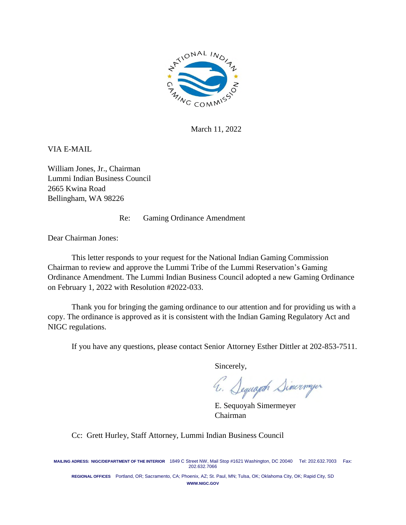

March 11, 2022

VIA E-MAIL

William Jones, Jr., Chairman Lummi Indian Business Council 2665 Kwina Road Bellingham, WA 98226

Re: Gaming Ordinance Amendment

Dear Chairman Jones:

This letter responds to your request for the National Indian Gaming Commission Chairman to review and approve the Lummi Tribe of the Lummi Reservation's Gaming Ordinance Amendment. The Lummi Indian Business Council adopted a new Gaming Ordinance on February 1, 2022 with Resolution #2022-033.

Thank you for bringing the gaming ordinance to our attention and for providing us with a copy. The ordinance is approved as it is consistent with the Indian Gaming Regulatory Act and NIGC regulations.

If you have any questions, please contact Senior Attorney Esther Dittler at 202-853-7511.

Sincerely,

4. Sequaph Simerweyer

E. Sequoyah Simermeyer Chairman

Cc: Grett Hurley, Staff Attorney, Lummi Indian Business Council

**MAILING ADRESS: NIGC/DEPARTMENT OF THE INTERIOR** 1849 C Street NW, Mail Stop #1621 Washington, DC 20040 Tel: 202.632.7003 Fax: 202.632.7066

**REGIONAL OFFICES** Portland, OR; Sacramento, CA; Phoenix, AZ; St. Paul, MN; Tulsa, OK; Oklahoma City, OK; Rapid City, SD **WWW.NIGC.GOV**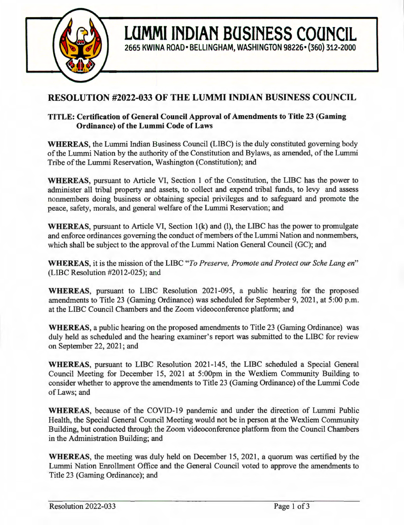

# **RESOLUTION #2022-033 OF THE LUMMI INDIAN BUSINESS COUNCIL**

**LUMMI INDIAN BUSINESS COUNCIL** 

**2665 KWINA ROAD• BELLINGHAM, WASHINGTON 98226• (360) 312-2000** 

# **TITLE: Certification of General Council Approval of Amendments to Title 23 (Gaming Ordinance) of the Lummi Code of Laws**

**WHEREAS,** the Lummi Indian Business Council (LIBC) is the duly constituted governing body of the Lummi Nation by the authority of the Constitution and Bylaws, as amended, of the Lummi Tribe of the Lummi Reservation, Washington (Constitution); and

**WHEREAS,** pursuant to Article VI, Section 1 of the Constitution, the LIBC has the power to administer all tribal property and assets, to collect and expend tribal funds, to levy and assess nonmembers doing business or obtaining special privileges and to safeguard and promote the peace, safety, morals, and general welfare of the Lummi Reservation; and

**WHEREAS, pursuant to Article VI, Section 1(k) and (l), the LIBC has the power to promulgate** and enforce ordinances governing the conduct of members of the Lummi Nation and nonmembers, which shall be subject to the approval of the Lummi Nation General Council (GC); and

**WHEREAS,** it is the mission of the LIBC *"To Preserve, Promote and Protect our Sche Lang en"*  (LIBC Resolution #2012-025); and

**WHEREAS,** pursuant to LIBC Resolution 2021-095, a public hearing for the proposed amendments to Title 23 (Gaming Ordinance) was scheduled for September 9, 2021, at 5:00 p.m. at the LIBC Council Chambers and the Zoom videoconference platform; and

**WHEREAS,** a public hearing on the proposed amendments to Title 23 (Gaming Ordinance) was duly held as scheduled and the hearing examiner's report was submitted to the LIBC for review on September 22, 2021; and

**WHEREAS,** pursuant to LIBC Resolution 2021-145, the LIBC scheduled a Special General Council Meeting for December 15, 2021 at 5:00pm in the Wexliem Community Building to consider whether to approve the amendments to Title 23 (Gaming Ordinance) of the Lummi Code of Laws; and

**WHEREAS,** because of the COVID-19 pandemic and under the direction of Lummi Public Health, the Special General Council Meeting would not be in person at the Wexliem Community Building, but conducted through the Zoom videoconference platform from the Council Chambers in the Administration Building; and

**WHEREAS,** the meeting was duly held on December 15, 2021, a quorum was certified by the Lummi Nation Enrollment Office and the General Council voted to approve the amendments to Title 23 (Gaming Ordinance); and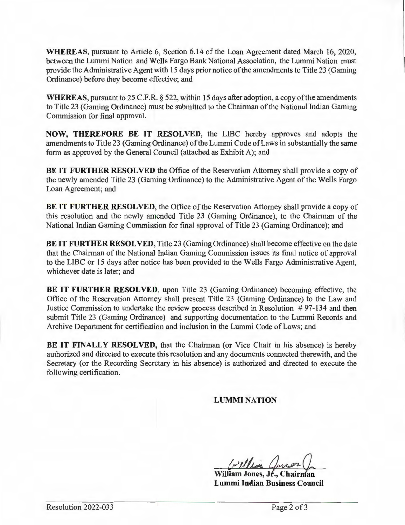**WHEREAS,** pursuant to Article 6, Section 6.14 of the Loan Agreement dated March 16, 2020, between the Lummi Nation and Wells Fargo Bank National Association, the Lummi Nation must provide the Administrative Agent with 15 days prior notice of the amendments to Title 23 (Gaming Ordinance) before they become effective; and

**WHEREAS,** pursuant to 25 C.F .R. § 522, within 15 days after adoption, a copy of the amendments to Title 23 (Gaming Ordinance) must be submitted to the Chairman of the National Indian Gaming Commission for final approval.

**NOW, THEREFORE BE IT RESOLVED,** the LIBC hereby approves and adopts the amendments to Title 23 (Gaming Ordinance) of the Lummi Code of Laws in substantially the same form as approved by the General Council (attached as Exhibit A); and

**BE IT FURTHER RESOLVED** the Office of the Reservation Attorney shall provide a copy of the newly amended Title 23 (Gaming Ordinance) to the Administrative Agent of the Wells Fargo Loan Agreement; and

**BE IT FURTHER RESOLVED, the Office of the Reservation Attorney shall provide a copy of** this resolution and the newly amended Title 23 (Gaming Ordinance), to the Chairman of the National Indian Gaming Commission for final approval of Title 23 (Gaming Ordinance); and

**BE IT FURTHER RESOLVED,** Title 23 (Gaming Ordinance) shall become effective on the date that the Chairman of the National Indian Gaming Commission issues its final notice of approval to the LIBC or 15 days after notice has been provided to the Wells Fargo Administrative Agent, whichever date is later; and

**BE IT FURTHER RESOLVED,** upon Title 23 (Gaming Ordinance) becoming effective, the Office of the Reservation Attorney shall present Title 23 (Gaming Ordinance) to the Law and Justice Commission to undertake the review process described in Resolution # 97-134 and then submit Title 23 (Gaming Ordinance) and supporting documentation to the Lummi Records and Archive Department for certification and inclusion in the Lummi Code of Laws; and

**BE IT FINALLY RESOLVED,** that the Chairman (or Vice Chair in his absence) is hereby authorized and directed to execute this resolution and any documents connected therewith, and the Secretary (or the Recording Secretary in his absence) is authorized and directed to execute the following certification.

**LUMMI NATION** 

**William Jones, Jr., Chairman Lummi Indian Business Council**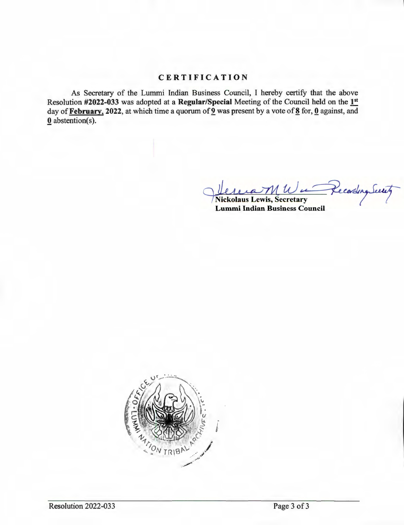# **CERTIFICATION**

As Secretary of the Lummi Indian Business Council, I hereby certify that the above Resolution **#2022-033** was adopted at a **Regular/Special** Meeting of the Council held on the **1st**  day of **February**, 2022, at which time a quorum of **2** was present by a vote of 8 for, **0** against, and **Q** abstention(s).

Vercrant Wu Recording Servit

**Lummi Indian Business Council** 

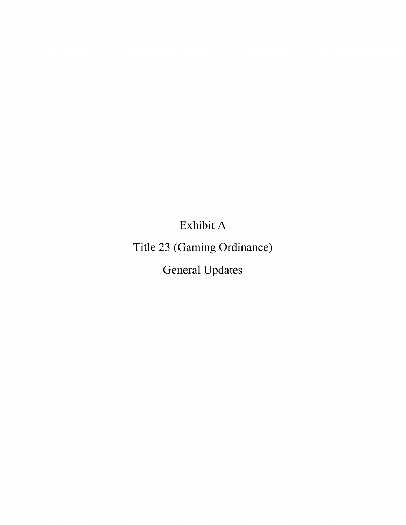Exhibit A

Title 23 (Gaming Ordinance)

General Updates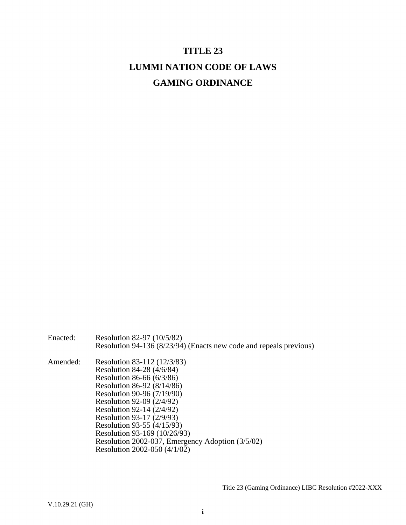# **TITLE 23 LUMMI NATION CODE OF LAWS GAMING ORDINANCE**

Enacted: Resolution 82-97 (10/5/82) Resolution 94-136 (8/23/94) (Enacts new code and repeals previous) Amended: Resolution 83-112 (12/3/83) Resolution 84-28 (4/6/84) Resolution 86-66 (6/3/86) Resolution 86-92 (8/14/86) Resolution 90-96 (7/19/90) Resolution 92-09 (2/4/92)

Resolution 92-14 (2/4/92) Resolution 93-17 (2/9/93) Resolution 93-55 (4/15/93) Resolution 93-169 (10/26/93) Resolution 2002-037, Emergency Adoption (3/5/02) Resolution 2002-050 (4/1/02)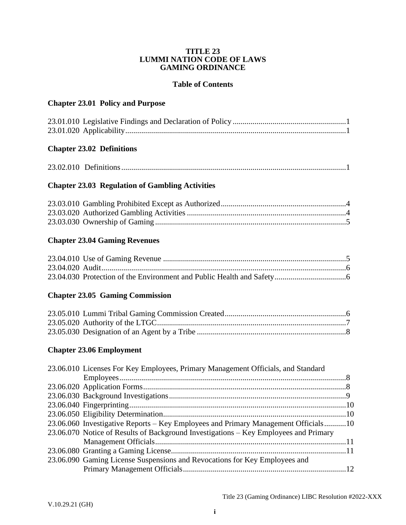#### **TITLE 23 LUMMI NATION CODE OF LAWS GAMING ORDINANCE**

## **Table of Contents**

# **[Chapter 23.01 Policy and Purpose](#page-8-0)**

## **[Chapter 23.02 Definitions](#page-8-3)**

|--|--|--|

# **[Chapter 23.03 Regulation of Gambling Activities](#page-11-0)**

# **[Chapter 23.04 Gaming Revenues](#page-12-1)**

# **[Chapter 23.05 Gaming Commission](#page-13-2)**

# **[Chapter 23.06 Employment](#page-15-1)**

| 23.06.010 Licenses For Key Employees, Primary Management Officials, and Standard     |  |
|--------------------------------------------------------------------------------------|--|
|                                                                                      |  |
|                                                                                      |  |
|                                                                                      |  |
|                                                                                      |  |
|                                                                                      |  |
| 23.06.060 Investigative Reports – Key Employees and Primary Management Officials10   |  |
| 23.06.070 Notice of Results of Background Investigations – Key Employees and Primary |  |
|                                                                                      |  |
|                                                                                      |  |
| 23.06.090 Gaming License Suspensions and Revocations for Key Employees and           |  |
|                                                                                      |  |
|                                                                                      |  |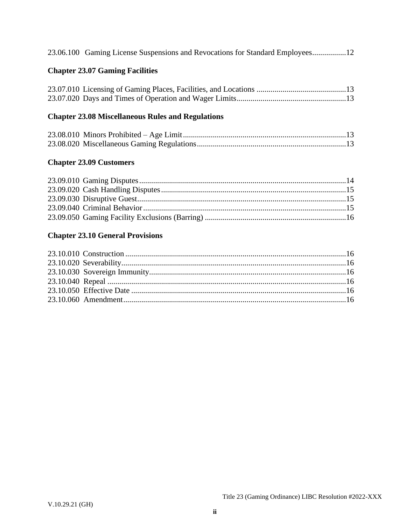| 23.06.100 Gaming License Suspensions and Revocations for Standard Employees12 |  |  |  |
|-------------------------------------------------------------------------------|--|--|--|
|                                                                               |  |  |  |

# **[Chapter 23.07 Gaming Facilities](#page-20-0)**

# **[Chapter 23.08 Miscellaneous Rules and Regulations](#page-20-3)**

# **[Chapter 23.09 Customers](#page-21-0)**

# **[Chapter 23.10 General Provisions](#page-23-1)**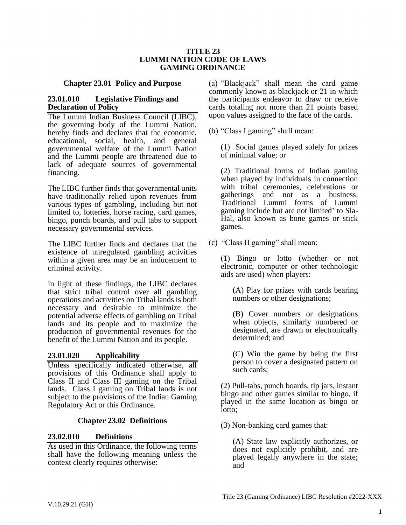#### **TITLE 23 LUMMI NATION CODE OF LAWS GAMING ORDINANCE**

#### **Chapter 23.01 Policy and Purpose**

#### <span id="page-8-1"></span><span id="page-8-0"></span>**23.01.010 Legislative Findings and Declaration of Policy**

The Lummi Indian Business Council (LIBC), the governing body of the Lummi Nation, hereby finds and declares that the economic, educational, social, health, and general governmental welfare of the Lummi Nation and the Lummi people are threatened due to lack of adequate sources of governmental financing.

The LIBC further finds that governmental units have traditionally relied upon revenues from various types of gambling, including but not limited to, lotteries, horse racing, card games, bingo, punch boards, and pull tabs to support necessary governmental services.

The LIBC further finds and declares that the existence of unregulated gambling activities within a given area may be an inducement to criminal activity.

In light of these findings, the LIBC declares that strict tribal control over all gambling operations and activities on Tribal lands is both necessary and desirable to minimize the potential adverse effects of gambling on Tribal lands and its people and to maximize the production of governmental revenues for the benefit of the Lummi Nation and its people.

#### <span id="page-8-2"></span>**23.01.020 Applicability**

Unless specifically indicated otherwise, all provisions of this Ordinance shall apply to Class II and Class III gaming on the Tribal lands. Class I gaming on Tribal lands is not subject to the provisions of the Indian Gaming Regulatory Act or this Ordinance.

### **Chapter 23.02 Definitions**

#### <span id="page-8-4"></span><span id="page-8-3"></span>**23.02.010 Definitions**

As used in this Ordinance, the following terms shall have the following meaning unless the context clearly requires otherwise:

(a) "Blackjack" shall mean the card game commonly known as blackjack or 21 in which the participants endeavor to draw or receive cards totaling not more than 21 points based upon values assigned to the face of the cards.

(b) "Class I gaming" shall mean:

(1) Social games played solely for prizes of minimal value; or

(2) Traditional forms of Indian gaming when played by individuals in connection with tribal ceremonies, celebrations or gatherings and not as a business. Traditional Lummi forms of Lummi gaming include but are not limited' to Sla-Hal, also known as bone games or stick games.

(c) "Class II gaming" shall mean:

(1) Bingo or lotto (whether or not electronic, computer or other technologic aids are used) when players:

(A) Play for prizes with cards bearing numbers or other designations;

(B) Cover numbers or designations when objects, similarly numbered or designated, are drawn or electronically determined; and

(C) Win the game by being the first person to cover a designated pattern on such cards;

(2) Pull-tabs, punch boards, tip jars, instant bingo and other games similar to bingo, if played in the same location as bingo or lotto;

(3) Non-banking card games that:

(A) State law explicitly authorizes, or does not explicitly prohibit, and are played legally anywhere in the state; and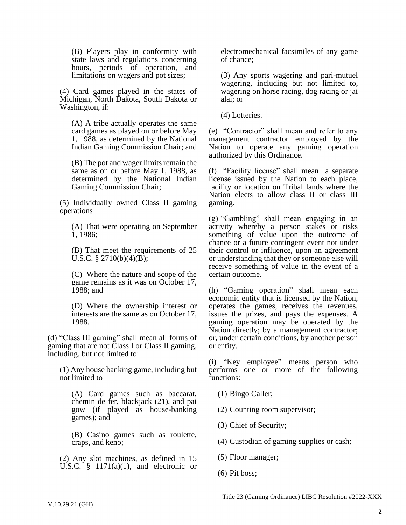(B) Players play in conformity with state laws and regulations concerning hours, periods of operation, and limitations on wagers and pot sizes;

(4) Card games played in the states of Michigan, North Dakota, South Dakota or Washington, if:

(A) A tribe actually operates the same card games as played on or before May 1, 1988, as determined by the National Indian Gaming Commission Chair; and

(B) The pot and wager limits remain the same as on or before May 1, 1988, as determined by the National Indian Gaming Commission Chair;

(5) Individually owned Class II gaming operations –

(A) That were operating on September 1, 1986;

(B) That meet the requirements of 25 U.S.C. § 2710(b)(4)(B);

(C) Where the nature and scope of the game remains as it was on October 17, 1988; and

(D) Where the ownership interest or interests are the same as on October 17, 1988.

(d) "Class III gaming" shall mean all forms of gaming that are not Class I or Class II gaming, including, but not limited to:

(1) Any house banking game, including but not limited to –

(A) Card games such as baccarat, chemin de fer, blackjack (21), and pai gow (if played as house-banking games); and

(B) Casino games such as roulette, craps, and keno;

(2) Any slot machines, as defined in 15 U.S.C.  $\frac{1}{9}$  1171(a)(1), and electronic or electromechanical facsimiles of any game of chance;

(3) Any sports wagering and pari-mutuel wagering, including but not limited to, wagering on horse racing, dog racing or jai alai; or

(4) Lotteries.

(e) "Contractor" shall mean and refer to any management contractor employed by the Nation to operate any gaming operation authorized by this Ordinance.

(f) "Facility license" shall mean a separate license issued by the Nation to each place, facility or location on Tribal lands where the Nation elects to allow class II or class III gaming.

(g) "Gambling" shall mean engaging in an activity whereby a person stakes or risks something of value upon the outcome of chance or a future contingent event not under their control or influence, upon an agreement or understanding that they or someone else will receive something of value in the event of a certain outcome.

(h) "Gaming operation" shall mean each economic entity that is licensed by the Nation, operates the games, receives the revenues, issues the prizes, and pays the expenses. A gaming operation may be operated by the Nation directly; by a management contractor; or, under certain conditions, by another person or entity.

(i) "Key employee" means person who performs one or more of the following functions:

(1) Bingo Caller;

(2) Counting room supervisor;

(3) Chief of Security;

(4) Custodian of gaming supplies or cash;

(5) Floor manager;

(6) Pit boss;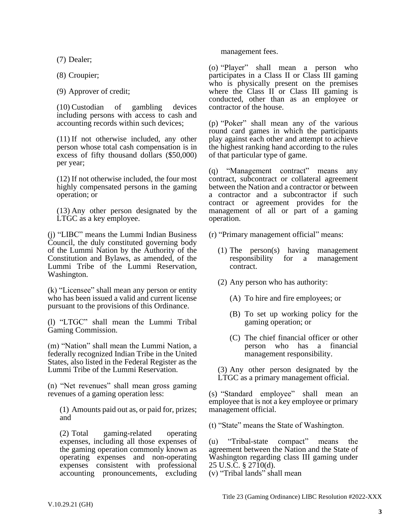(7) Dealer;

(8) Croupier;

(9) Approver of credit;

(10) Custodian of gambling devices including persons with access to cash and accounting records within such devices;

(11) If not otherwise included, any other person whose total cash compensation is in excess of fifty thousand dollars (\$50,000) per year;

(12) If not otherwise included, the four most highly compensated persons in the gaming operation; or

(13) Any other person designated by the LTGC as a key employee.

(j) "LIBC" means the Lummi Indian Business Council, the duly constituted governing body of the Lummi Nation by the Authority of the Constitution and Bylaws, as amended, of the Lummi Tribe of the Lummi Reservation, Washington.

(k) "Licensee" shall mean any person or entity who has been issued a valid and current license pursuant to the provisions of this Ordinance.

(l) "LTGC" shall mean the Lummi Tribal Gaming Commission.

(m) "Nation" shall mean the Lummi Nation, a federally recognized Indian Tribe in the United States, also listed in the Federal Register as the Lummi Tribe of the Lummi Reservation.

(n) "Net revenues" shall mean gross gaming revenues of a gaming operation less:

(1) Amounts paid out as, or paid for, prizes; and

(2) Total gaming-related operating expenses, including all those expenses of the gaming operation commonly known as operating expenses and non-operating expenses consistent with professional accounting pronouncements, excluding management fees.

(o) "Player" shall mean a person who participates in a Class II or Class III gaming who is physically present on the premises where the Class II or Class III gaming is conducted, other than as an employee or contractor of the house.

(p) "Poker" shall mean any of the various round card games in which the participants play against each other and attempt to achieve the highest ranking hand according to the rules of that particular type of game.

(q) "Management contract" means any contract, subcontract or collateral agreement between the Nation and a contractor or between a contractor and a subcontractor if such contract or agreement provides for the management of all or part of a gaming operation.

(r) "Primary management official" means:

- (1) The person(s) having management responsibility for a management contract.
- (2) Any person who has authority:
	- (A) To hire and fire employees; or
	- (B) To set up working policy for the gaming operation; or
	- (C) The chief financial officer or other person who has a financial management responsibility.

(3) Any other person designated by the LTGC as a primary management official.

(s) "Standard employee" shall mean an employee that is not a key employee or primary management official.

(t) "State" means the State of Washington.

(u) "Tribal-state compact" means the agreement between the Nation and the State of Washington regarding class III gaming under 25 U.S.C. § 2710(d).

<sup>(</sup>v) "Tribal lands" shall mean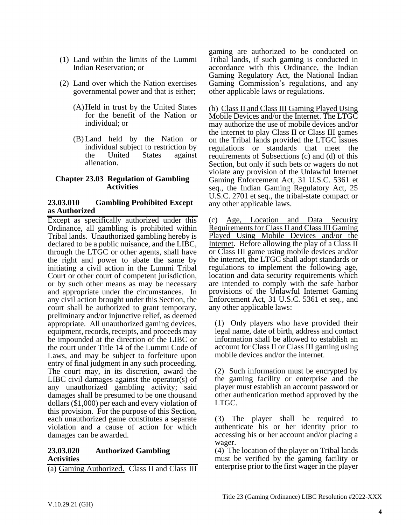- (1) Land within the limits of the Lummi Indian Reservation; or
- (2) Land over which the Nation exercises governmental power and that is either;
	- (A)Held in trust by the United States for the benefit of the Nation or individual; or
	- (B) Land held by the Nation or individual subject to restriction by the United States against alienation.

#### <span id="page-11-0"></span>**Chapter 23.03 Regulation of Gambling Activities**

#### <span id="page-11-1"></span>**23.03.010 Gambling Prohibited Except as Authorized**

Except as specifically authorized under this Ordinance, all gambling is prohibited within Tribal lands. Unauthorized gambling hereby is declared to be a public nuisance, and the LIBC, through the LTGC or other agents, shall have the right and power to abate the same by initiating a civil action in the Lummi Tribal Court or other court of competent jurisdiction, or by such other means as may be necessary and appropriate under the circumstances. In any civil action brought under this Section, the court shall be authorized to grant temporary, preliminary and/or injunctive relief, as deemed appropriate. All unauthorized gaming devices, equipment, records, receipts, and proceeds may be impounded at the direction of the LIBC or the court under Title 14 of the Lummi Code of Laws, and may be subject to forfeiture upon entry of final judgment in any such proceeding. The court may, in its discretion, award the LIBC civil damages against the operator(s) of any unauthorized gambling activity; said damages shall be presumed to be one thousand dollars (\$1,000) per each and every violation of this provision. For the purpose of this Section, each unauthorized game constitutes a separate violation and a cause of action for which damages can be awarded.

#### <span id="page-11-2"></span>**23.03.020 Authorized Gambling Activities**

(a) Gaming Authorized. Class II and Class III

gaming are authorized to be conducted on Tribal lands, if such gaming is conducted in accordance with this Ordinance, the Indian Gaming Regulatory Act, the National Indian Gaming Commission's regulations, and any other applicable laws or regulations.

(b) Class II and Class III Gaming Played Using Mobile Devices and/or the Internet. The LTGC may authorize the use of mobile devices and/or the internet to play Class II or Class III games on the Tribal lands provided the LTGC issues regulations or standards that meet the requirements of Subsections (c) and (d) of this Section, but only if such bets or wagers do not violate any provision of the Unlawful Internet Gaming Enforcement Act, 31 U.S.C. 5361 et seq., the Indian Gaming Regulatory Act, 25 U.S.C. 2701 et seq., the tribal-state compact or any other applicable laws.

(c) Age, Location and Data Security Requirements for Class II and Class III Gaming Played Using Mobile Devices and/or the Internet. Before allowing the play of a Class II or Class III game using mobile devices and/or the internet, the LTGC shall adopt standards or regulations to implement the following age, location and data security requirements which are intended to comply with the safe harbor provisions of the Unlawful Internet Gaming Enforcement Act, 31 U.S.C. 5361 et seq., and any other applicable laws:

(1) Only players who have provided their legal name, date of birth, address and contact information shall be allowed to establish an account for Class II or Class III gaming using mobile devices and/or the internet.

(2) Such information must be encrypted by the gaming facility or enterprise and the player must establish an account password or other authentication method approved by the LTGC.

(3) The player shall be required to authenticate his or her identity prior to accessing his or her account and/or placing a wager.

(4) The location of the player on Tribal lands must be verified by the gaming facility or enterprise prior to the first wager in the player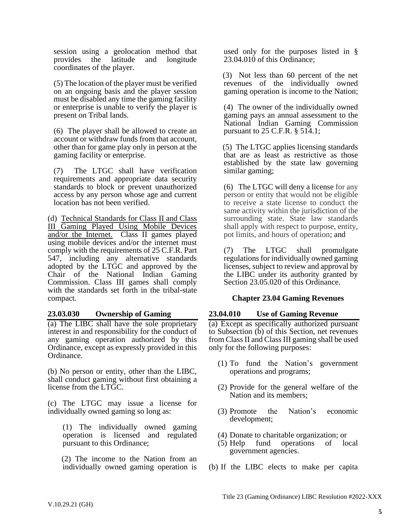session using a geolocation method that provides the latitude and longitude coordinates of the player.

(5) The location of the player must be verified on an ongoing basis and the player session must be disabled any time the gaming facility or enterprise is unable to verify the player is present on Tribal lands.

(6) The player shall be allowed to create an account or withdraw funds from that account, other than for game play only in person at the gaming facility or enterprise.

(7) The LTGC shall have verification requirements and appropriate data security standards to block or prevent unauthorized access by any person whose age and current location has not been verified.

(d) Technical Standards for Class II and Class III Gaming Played Using Mobile Devices and/or the Internet. Class II games played using mobile devices and/or the internet must comply with the requirements of 25 C.F.R. Part 547, including any alternative standards adopted by the LTGC and approved by the Chair of the National Indian Gaming Commission. Class III games shall comply with the standards set forth in the tribal-state compact.

### <span id="page-12-0"></span>**23.03.030 Ownership of Gaming**

(a) The LIBC shall have the sole proprietary interest in and responsibility for the conduct of any gaming operation authorized by this Ordinance, except as expressly provided in this Ordinance.

(b) No person or entity, other than the LIBC, shall conduct gaming without first obtaining a license from the LTGC.

(c) The LTGC may issue a license for individually owned gaming so long as:

(1) The individually owned gaming operation is licensed and regulated pursuant to this Ordinance;

 (2) The income to the Nation from an individually owned gaming operation is used only for the purposes listed in § 23.04.010 of this Ordinance;

 (3) Not less than 60 percent of the net revenues of the individually owned gaming operation is income to the Nation;

(4) The owner of the individually owned gaming pays an annual assessment to the National Indian Gaming Commission pursuant to 25 C.F.R. § 514.1;

 (5) The LTGC applies licensing standards that are as least as restrictive as those established by the state law governing similar gaming;

(6) The LTGC will deny a license for any person or entity that would not be eligible to receive a state license to conduct the same activity within the jurisdiction of the surrounding state. State law standards shall apply with respect to purpose, entity, pot limits, and hours of operation; and

(7) The LTGC shall promulgate regulations for individually owned gaming licenses, subject to review and approval by the LIBC under its authority granted by Section 23.05.020 of this Ordinance.

# <span id="page-12-1"></span> **Chapter 23.04 Gaming Revenues**

# <span id="page-12-2"></span>**23.04.010 Use of Gaming Revenue**

(a) Except as specifically authorized pursuant to Subsection (b) of this Section, net revenues from Class II and Class III gaming shall be used only for the following purposes:

- (1) To fund the Nation's government operations and programs;
- (2) Provide for the general welfare of the Nation and its members;
- (3) Promote the Nation's economic development;
- (4) Donate to charitable organization; or
- (5) Help fund operations of local government agencies.
- (b) If the LIBC elects to make per capita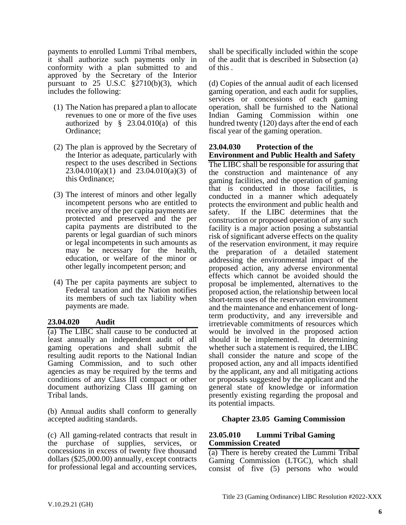payments to enrolled Lummi Tribal members, it shall authorize such payments only in conformity with a plan submitted to and approved by the Secretary of the Interior pursuant to  $25$  U.S.C  $\S$ 2710(b)(3), which includes the following:

- (1) The Nation has prepared a plan to allocate revenues to one or more of the five uses authorized by  $\S$  23.04.010(a) of this Ordinance;
- (2) The plan is approved by the Secretary of the Interior as adequate, particularly with respect to the uses described in Sections  $23.04.010(a)(1)$  and  $23.04.010(a)(3)$  of this Ordinance;
- (3) The interest of minors and other legally incompetent persons who are entitled to receive any of the per capita payments are protected and preserved and the per capita payments are distributed to the parents or legal guardian of such minors or legal incompetents in such amounts as may be necessary for the health, education, or welfare of the minor or other legally incompetent person; and
- (4) The per capita payments are subject to Federal taxation and the Nation notifies its members of such tax liability when payments are made.

### <span id="page-13-0"></span>**23.04.020 Audit**

(a) The LIBC shall cause to be conducted at least annually an independent audit of all gaming operations and shall submit the resulting audit reports to the National Indian Gaming Commission, and to such other agencies as may be required by the terms and conditions of any Class III compact or other document authorizing Class III gaming on Tribal lands.

(b) Annual audits shall conform to generally accepted auditing standards.

(c) All gaming-related contracts that result in the purchase of supplies, services, or concessions in excess of twenty five thousand dollars (\$25,000.00) annually, except contracts for professional legal and accounting services,

shall be specifically included within the scope of the audit that is described in Subsection (a) of this .

(d) Copies of the annual audit of each licensed gaming operation, and each audit for supplies, services or concessions of each gaming operation, shall be furnished to the National Indian Gaming Commission within one hundred twenty (120) days after the end of each fiscal year of the gaming operation.

#### <span id="page-13-1"></span>**23.04.030 Protection of the Environment and Public Health and Safety**

The LIBC shall be responsible for assuring that the construction and maintenance of any gaming facilities, and the operation of gaming that is conducted in those facilities, is conducted in a manner which adequately protects the environment and public health and safety. If the LIBC determines that the construction or proposed operation of any such facility is a major action posing a substantial risk of significant adverse effects on the quality of the reservation environment, it may require the preparation of a detailed statement addressing the environmental impact of the proposed action, any adverse environmental effects which cannot be avoided should the proposal be implemented, alternatives to the proposed action, the relationship between local short-term uses of the reservation environment and the maintenance and enhancement of longterm productivity, and any irreversible and irretrievable commitments of resources which would be involved in the proposed action should it be implemented. In determining whether such a statement is required, the LIBC shall consider the nature and scope of the proposed action, any and all impacts identified by the applicant, any and all mitigating actions or proposals suggested by the applicant and the general state of knowledge or information presently existing regarding the proposal and its potential impacts.

### <span id="page-13-2"></span>**Chapter 23.05 Gaming Commission**

#### <span id="page-13-3"></span>**23.05.010 Lummi Tribal Gaming Commission Created**

(a) There is hereby created the Lummi Tribal Gaming Commission (LTGC), which shall consist of five (5) persons who would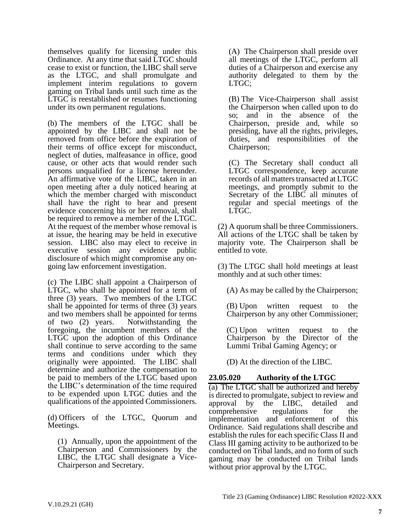themselves qualify for licensing under this Ordinance. At any time that said LTGC should cease to exist or function, the LIBC shall serve as the LTGC, and shall promulgate and implement interim regulations to govern gaming on Tribal lands until such time as the LTGC is reestablished or resumes functioning under its own permanent regulations.

(b) The members of the LTGC shall be appointed by the LIBC and shall not be removed from office before the expiration of their terms of office except for misconduct, neglect of duties, malfeasance in office, good cause, or other acts that would render such persons unqualified for a license hereunder. An affirmative vote of the LIBC, taken in an open meeting after a duly noticed hearing at which the member charged with misconduct shall have the right to hear and present evidence concerning his or her removal, shall be required to remove a member of the LTGC. At the request of the member whose removal is at issue, the hearing may be held in executive session. LIBC also may elect to receive in executive session any evidence public disclosure of which might compromise any ongoing law enforcement investigation.

(c) The LIBC shall appoint a Chairperson of LTGC, who shall be appointed for a term of three (3) years. Two members of the LTGC shall be appointed for terms of three (3) years and two members shall be appointed for terms of two (2) years. Notwithstanding the foregoing, the incumbent members of the LTGC upon the adoption of this Ordinance shall continue to serve according to the same terms and conditions under which they originally were appointed. The LIBC shall determine and authorize the compensation to be paid to members of the LTGC based upon the LIBC's determination of the time required to be expended upon LTGC duties and the qualifications of the appointed Commissioners.

(d) Officers of the LTGC, Quorum and Meetings.

(1) Annually, upon the appointment of the Chairperson and Commissioners by the LIBC, the LTGC shall designate a Vice-Chairperson and Secretary.

(A) The Chairperson shall preside over all meetings of the LTGC, perform all duties of a Chairperson and exercise any authority delegated to them by the LTGC;

(B) The Vice-Chairperson shall assist the Chairperson when called upon to do so; and in the absence of the Chairperson, preside and, while so presiding, have all the rights, privileges, duties, and responsibilities of the Chairperson;

(C) The Secretary shall conduct all LTGC correspondence, keep accurate records of all matters transacted at LTGC meetings, and promptly submit to the Secretary of the LIBC all minutes of regular and special meetings of the LTGC.

(2) A quorum shall be three Commissioners. All actions of the LTGC shall be taken by majority vote. The Chairperson shall be entitled to vote.

(3) The LTGC shall hold meetings at least monthly and at such other times:

(A) As may be called by the Chairperson;

(B) Upon written request to the Chairperson by any other Commissioner;

(C) Upon written request to the Chairperson by the Director of the Lummi Tribal Gaming Agency; or

(D) At the direction of the LIBC.

# <span id="page-14-0"></span>**23.05.020 Authority of the LTGC**

(a) The LTGC shall be authorized and hereby is directed to promulgate, subject to review and approval by the LIBC, detailed and comprehensive regulations for the implementation and enforcement of this Ordinance. Said regulations shall describe and establish the rules for each specific Class II and Class III gaming activity to be authorized to be conducted on Tribal lands, and no form of such gaming may be conducted on Tribal lands without prior approval by the LTGC.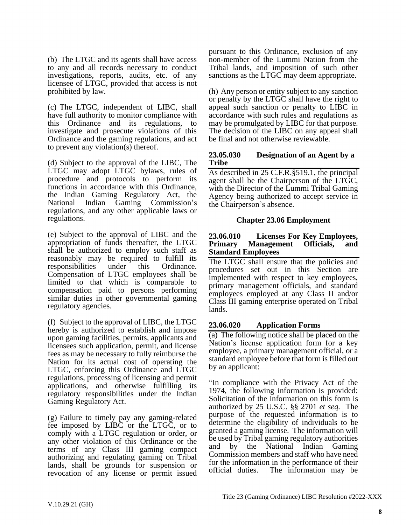(b) The LTGC and its agents shall have access to any and all records necessary to conduct investigations, reports, audits, etc. of any licensee of LTGC, provided that access is not prohibited by law.

(c) The LTGC, independent of LIBC, shall have full authority to monitor compliance with this Ordinance and its regulations, to investigate and prosecute violations of this Ordinance and the gaming regulations, and act to prevent any violation(s) thereof.

(d) Subject to the approval of the LIBC, The LTGC may adopt LTGC bylaws, rules of procedure and protocols to perform its functions in accordance with this Ordinance, the Indian Gaming Regulatory Act, the National Indian Gaming Commission's regulations, and any other applicable laws or regulations.

(e) Subject to the approval of LIBC and the appropriation of funds thereafter, the LTGC shall be authorized to employ such staff as reasonably may be required to fulfill its responsibilities under this Ordinance. Compensation of LTGC employees shall be limited to that which is comparable to compensation paid to persons performing similar duties in other governmental gaming regulatory agencies.

(f) Subject to the approval of LIBC, the LTGC hereby is authorized to establish and impose upon gaming facilities, permits, applicants and licensees such application, permit, and license fees as may be necessary to fully reimburse the Nation for its actual cost of operating the LTGC, enforcing this Ordinance and LTGC regulations, processing of licensing and permit applications, and otherwise fulfilling its regulatory responsibilities under the Indian Gaming Regulatory Act.

(g) Failure to timely pay any gaming-related fee imposed by LIBC or the LTGC, or to comply with a LTGC regulation or order, or any other violation of this Ordinance or the terms of any Class III gaming compact authorizing and regulating gaming on Tribal lands, shall be grounds for suspension or revocation of any license or permit issued pursuant to this Ordinance, exclusion of any non-member of the Lummi Nation from the Tribal lands, and imposition of such other sanctions as the LTGC may deem appropriate.

(h) Any person or entity subject to any sanction or penalty by the LTGC shall have the right to appeal such sanction or penalty to LIBC in accordance with such rules and regulations as may be promulgated by LIBC for that purpose. The decision of the LIBC on any appeal shall be final and not otherwise reviewable.

### <span id="page-15-0"></span>**23.05.030 Designation of an Agent by a Tribe**

As described in 25 C.F.R.§519.1, the principal agent shall be the Chairperson of the LTGC, with the Director of the Lummi Tribal Gaming Agency being authorized to accept service in the Chairperson's absence.

### **Chapter 23.06 Employment**

#### <span id="page-15-2"></span><span id="page-15-1"></span>**23.06.010 Licenses For Key Employees, Primary Management Officials, and Standard Employees**

The LTGC shall ensure that the policies and procedures set out in this Section are implemented with respect to key employees, primary management officials, and standard employees employed at any Class II and/or Class III gaming enterprise operated on Tribal lands.

# <span id="page-15-3"></span>**23.06.020 Application Forms**

(a) The following notice shall be placed on the Nation's license application form for a key employee, a primary management official, or a standard employee before that form is filled out by an applicant:

"In compliance with the Privacy Act of the 1974, the following information is provided: Solicitation of the information on this form is authorized by 25 U.S.C. §§ 2701 *et seq.* The purpose of the requested information is to determine the eligibility of individuals to be granted a gaming license. The information will be used by Tribal gaming regulatory authorities and by the National Indian Gaming Commission members and staff who have need for the information in the performance of their official duties. The information may be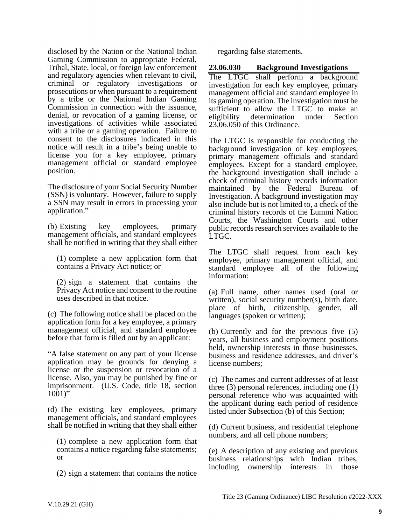disclosed by the Nation or the National Indian Gaming Commission to appropriate Federal, Tribal, State, local, or foreign law enforcement and regulatory agencies when relevant to civil, criminal or regulatory investigations or prosecutions or when pursuant to a requirement by a tribe or the National Indian Gaming Commission in connection with the issuance, denial, or revocation of a gaming license, or investigations of activities while associated with a tribe or a gaming operation. Failure to consent to the disclosures indicated in this notice will result in a tribe's being unable to license you for a key employee, primary management official or standard employee position.

The disclosure of your Social Security Number (SSN) is voluntary. However, failure to supply a SSN may result in errors in processing your application."

(b) Existing key employees, primary management officials, and standard employees shall be notified in writing that they shall either

(1) complete a new application form that contains a Privacy Act notice; or

(2) sign a statement that contains the Privacy Act notice and consent to the routine uses described in that notice.

(c) The following notice shall be placed on the application form for a key employee, a primary management official, and standard employee before that form is filled out by an applicant:

"A false statement on any part of your license application may be grounds for denying a license or the suspension or revocation of a license. Also, you may be punished by fine or imprisonment. (U.S. Code, title 18, section  $1001$ "

(d) The existing key employees, primary management officials, and standard employees shall be notified in writing that they shall either

(1) complete a new application form that contains a notice regarding false statements; or

(2) sign a statement that contains the notice

regarding false statements.

<span id="page-16-0"></span>**23.06.030 Background Investigations**

The LTGC shall perform a background investigation for each key employee, primary management official and standard employee in its gaming operation. The investigation must be sufficient to allow the LTGC to make an eligibility determination under Section 23.06.050 of this Ordinance.

The LTGC is responsible for conducting the background investigation of key employees, primary management officials and standard employees. Except for a standard employee, the background investigation shall include a check of criminal history records information maintained by the Federal Bureau of Investigation. A background investigation may also include but is not limited to, a check of the criminal history records of the Lummi Nation Courts, the Washington Courts and other public records research services available to the LTGC.

The LTGC shall request from each key employee, primary management official, and standard employee all of the following information:

(a) Full name, other names used (oral or written), social security number(s), birth date, place of birth, citizenship, gender, all languages (spoken or written);

(b) Currently and for the previous five (5) years, all business and employment positions held, ownership interests in those businesses, business and residence addresses, and driver's license numbers;

(c) The names and current addresses of at least three (3) personal references, including one (1) personal reference who was acquainted with the applicant during each period of residence listed under Subsection (b) of this Section;

(d) Current business, and residential telephone numbers, and all cell phone numbers;

(e) A description of any existing and previous business relationships with Indian tribes, including ownership interests in those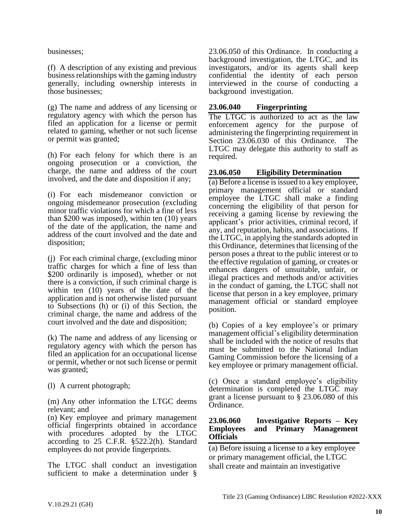businesses;

(f) A description of any existing and previous business relationships with the gaming industry generally, including ownership interests in those businesses;

(g) The name and address of any licensing or regulatory agency with which the person has filed an application for a license or permit related to gaming, whether or not such license or permit was granted;

(h) For each felony for which there is an ongoing prosecution or a conviction, the charge, the name and address of the court involved, and the date and disposition if any;

(i) For each misdemeanor conviction or ongoing misdemeanor prosecution (excluding minor traffic violations for which a fine of less than \$200 was imposed), within ten (10) years of the date of the application, the name and address of the court involved and the date and disposition;

(j) For each criminal charge, (excluding minor traffic charges for which a fine of less than \$200 ordinarily is imposed), whether or not there is a conviction, if such criminal charge is within ten (10) years of the date of the application and is not otherwise listed pursuant to Subsections (h) or (i) of this Section, the criminal charge, the name and address of the court involved and the date and disposition;

(k) The name and address of any licensing or regulatory agency with which the person has filed an application for an occupational license or permit, whether or not such license or permit was granted;

(l) A current photograph;

(m) Any other information the LTGC deems relevant; and

(n) Key employee and primary management official fingerprints obtained in accordance with procedures adopted by the LTGC according to 25 C.F.R. §522.2(h). Standard employees do not provide fingerprints.

The LTGC shall conduct an investigation sufficient to make a determination under § 23.06.050 of this Ordinance. In conducting a background investigation, the LTGC, and its investigators, and/or its agents shall keep confidential the identity of each person interviewed in the course of conducting a background investigation.

## <span id="page-17-0"></span>**23.06.040 Fingerprinting**

The LTGC is authorized to act as the law enforcement agency for the purpose of administering the fingerprinting requirement in Section 23.06.030 of this Ordinance. The LTGC may delegate this authority to staff as required.

## <span id="page-17-1"></span>**23.06.050 Eligibility Determination**

(a) Before a license is issued to a key employee, primary management official or standard employee the LTGC shall make a finding concerning the eligibility of that person for receiving a gaming license by reviewing the applicant's prior activities, criminal record, if any, and reputation, habits, and associations. If the LTGC, in applying the standards adopted in this Ordinance, determines that licensing of the person poses a threat to the public interest or to the effective regulation of gaming, or creates or enhances dangers of unsuitable, unfair, or illegal practices and methods and/or activities in the conduct of gaming, the LTGC shall not license that person in a key employee, primary management official or standard employee position.

(b) Copies of a key employee's or primary management official's eligibility determination shall be included with the notice of results that must be submitted to the National Indian Gaming Commission before the licensing of a key employee or primary management official.

(c) Once a standard employee's eligibility determination is completed the LTGC may grant a license pursuant to § 23.06.080 of this Ordinance.

### <span id="page-17-2"></span>**23.06.060 Investigative Reports – Key Employees and Primary Management Officials**

(a) Before issuing a license to a key employee or primary management official, the LTGC shall create and maintain an investigative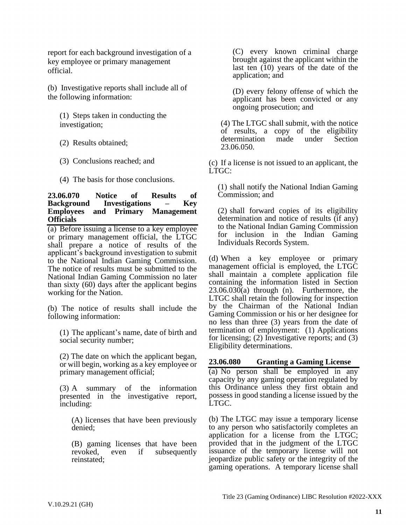report for each background investigation of a key employee or primary management official.

(b) Investigative reports shall include all of the following information:

(1) Steps taken in conducting the investigation;

- (2) Results obtained;
- (3) Conclusions reached; and
- (4) The basis for those conclusions.

#### <span id="page-18-0"></span>**23.06.070 Notice of Results of Background Investigations – Key Employees and Primary Management Officials**

(a) Before issuing a license to a key employee or primary management official, the LTGC shall prepare a notice of results of the applicant's background investigation to submit to the National Indian Gaming Commission. The notice of results must be submitted to the National Indian Gaming Commission no later than sixty (60) days after the applicant begins working for the Nation.

(b) The notice of results shall include the following information:

(1) The applicant's name, date of birth and social security number;

(2) The date on which the applicant began, or will begin, working as a key employee or primary management official;

(3) A summary of the information presented in the investigative report, including:

(A) licenses that have been previously denied;

(B) gaming licenses that have been<br>revoked, even if subsequently even if subsequently reinstated;

(C) every known criminal charge brought against the applicant within the last ten (10) years of the date of the application; and

(D) every felony offense of which the applicant has been convicted or any ongoing prosecution; and

(4) The LTGC shall submit, with the notice of results, a copy of the eligibility determination made under Section 23.06.050.

(c) If a license is not issued to an applicant, the LTGC:

(1) shall notify the National Indian Gaming Commission; and

(2) shall forward copies of its eligibility determination and notice of results (if any) to the National Indian Gaming Commission for inclusion in the Indian Gaming Individuals Records System.

(d) When a key employee or primary management official is employed, the LTGC shall maintain a complete application file containing the information listed in Section  $23.06.030(a)$  through (n). Furthermore, the LTGC shall retain the following for inspection by the Chairman of the National Indian Gaming Commission or his or her designee for no less than three (3) years from the date of termination of employment: (1) Applications for licensing; (2) Investigative reports; and (3) Eligibility determinations.

### <span id="page-18-1"></span>**23.06.080 Granting a Gaming License**

(a) No person shall be employed in any capacity by any gaming operation regulated by this Ordinance unless they first obtain and possess in good standing a license issued by the LTGC.

(b) The LTGC may issue a temporary license to any person who satisfactorily completes an application for a license from the LTGC; provided that in the judgment of the LTGC issuance of the temporary license will not jeopardize public safety or the integrity of the gaming operations. A temporary license shall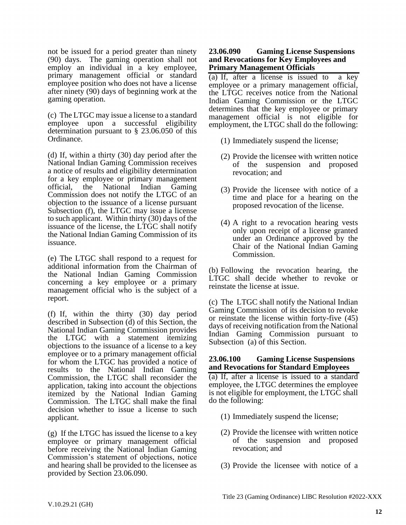not be issued for a period greater than ninety (90) days. The gaming operation shall not employ an individual in a key employee, primary management official or standard employee position who does not have a license after ninety (90) days of beginning work at the gaming operation.

(c) The LTGC may issue a license to a standard employee upon a successful eligibility determination pursuant to § 23.06.050 of this Ordinance.

(d) If, within a thirty (30) day period after the National Indian Gaming Commission receives a notice of results and eligibility determination for a key employee or primary management official, the National Indian Gaming Commission does not notify the LTGC of an objection to the issuance of a license pursuant Subsection (f), the LTGC may issue a license to such applicant. Within thirty (30) days of the issuance of the license, the LTGC shall notify the National Indian Gaming Commission of its issuance.

(e) The LTGC shall respond to a request for additional information from the Chairman of the National Indian Gaming Commission concerning a key employee or a primary management official who is the subject of a report.

(f) If, within the thirty (30) day period described in Subsection (d) of this Section, the National Indian Gaming Commission provides the LTGC with a statement itemizing objections to the issuance of a license to a key employee or to a primary management official for whom the LTGC has provided a notice of results to the National Indian Gaming Commission, the LTGC shall reconsider the application, taking into account the objections itemized by the National Indian Gaming Commission. The LTGC shall make the final decision whether to issue a license to such applicant.

(g) If the LTGC has issued the license to a key employee or primary management official before receiving the National Indian Gaming Commission's statement of objections, notice and hearing shall be provided to the licensee as provided by Section 23.06.090.

#### <span id="page-19-0"></span>**23.06.090 Gaming License Suspensions and Revocations for Key Employees and Primary Management Officials**

(a) If, after a license is issued to a key employee or a primary management official, the LTGC receives notice from the National Indian Gaming Commission or the LTGC determines that the key employee or primary management official is not eligible for employment, the LTGC shall do the following:

- (1) Immediately suspend the license;
- (2) Provide the licensee with written notice of the suspension and proposed revocation; and
- (3) Provide the licensee with notice of a time and place for a hearing on the proposed revocation of the license.
- (4) A right to a revocation hearing vests only upon receipt of a license granted under an Ordinance approved by the Chair of the National Indian Gaming Commission.

(b) Following the revocation hearing, the LTGC shall decide whether to revoke or reinstate the license at issue.

(c) The LTGC shall notify the National Indian Gaming Commission of its decision to revoke or reinstate the license within forty-five (45) days of receiving notification from the National Indian Gaming Commission pursuant to Subsection (a) of this Section.

#### <span id="page-19-1"></span>**23.06.100 Gaming License Suspensions and Revocations for Standard Employees**

(a) If, after a license is issued to a standard employee, the LTGC determines the employee is not eligible for employment, the LTGC shall do the following:

- (1) Immediately suspend the license;
- (2) Provide the licensee with written notice of the suspension and proposed revocation; and
- (3) Provide the licensee with notice of a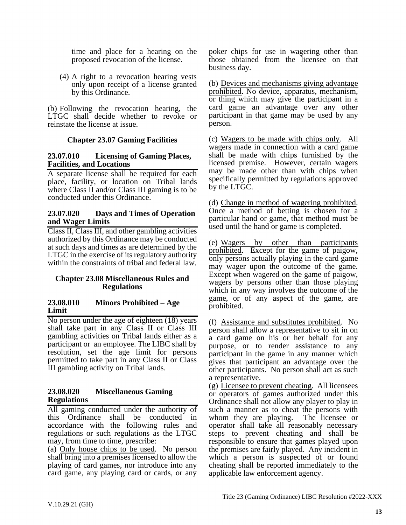time and place for a hearing on the proposed revocation of the license.

(4) A right to a revocation hearing vests only upon receipt of a license granted by this Ordinance.

(b) Following the revocation hearing, the LTGC shall decide whether to revoke or reinstate the license at issue.

### **Chapter 23.07 Gaming Facilities**

#### <span id="page-20-1"></span><span id="page-20-0"></span>**23.07.010 Licensing of Gaming Places, Facilities, and Locations**

A separate license shall be required for each place, facility, or location on Tribal lands where Class II and/or Class III gaming is to be conducted under this Ordinance.

#### <span id="page-20-2"></span>**23.07.020 Days and Times of Operation and Wager Limits**

Class II, Class III, and other gambling activities authorized by this Ordinance may be conducted at such days and times as are determined by the LTGC in the exercise of its regulatory authority within the constraints of tribal and federal law.

#### <span id="page-20-3"></span>**Chapter 23.08 Miscellaneous Rules and Regulations**

#### <span id="page-20-4"></span>**23.08.010 Minors Prohibited – Age Limit**

No person under the age of eighteen (18) years shall take part in any Class II or Class III gambling activities on Tribal lands either as a participant or an employee. The LIBC shall by resolution, set the age limit for persons permitted to take part in any Class II or Class III gambling activity on Tribal lands.

#### <span id="page-20-5"></span>**23.08.020 Miscellaneous Gaming Regulations**

All gaming conducted under the authority of this Ordinance shall be conducted in accordance with the following rules and regulations or such regulations as the LTGC may, from time to time, prescribe:

(a) Only house chips to be used. No person shall bring into a premises licensed to allow the playing of card games, nor introduce into any card game, any playing card or cards, or any

poker chips for use in wagering other than those obtained from the licensee on that business day.

(b) Devices and mechanisms giving advantage prohibited. No device, apparatus, mechanism, or thing which may give the participant in a card game an advantage over any other participant in that game may be used by any person.

(c) Wagers to be made with chips only. All wagers made in connection with a card game shall be made with chips furnished by the licensed premise. However, certain wagers may be made other than with chips when specifically permitted by regulations approved by the LTGC.

(d) Change in method of wagering prohibited. Once a method of betting is chosen for a particular hand or game, that method must be used until the hand or game is completed.

(e) Wagers by other than participants prohibited. Except for the game of paigow, only persons actually playing in the card game may wager upon the outcome of the game. Except when wagered on the game of paigow, wagers by persons other than those playing which in any way involves the outcome of the game, or of any aspect of the game, are prohibited.

(f) Assistance and substitutes prohibited. No person shall allow a representative to sit in on a card game on his or her behalf for any purpose, or to render assistance to any participant in the game in any manner which gives that participant an advantage over the other participants. No person shall act as such a representative.

(g) Licensee to prevent cheating. All licensees or operators of games authorized under this Ordinance shall not allow any player to play in such a manner as to cheat the persons with whom they are playing. The licensee or operator shall take all reasonably necessary steps to prevent cheating and shall be responsible to ensure that games played upon the premises are fairly played. Any incident in which a person is suspected of or found cheating shall be reported immediately to the applicable law enforcement agency.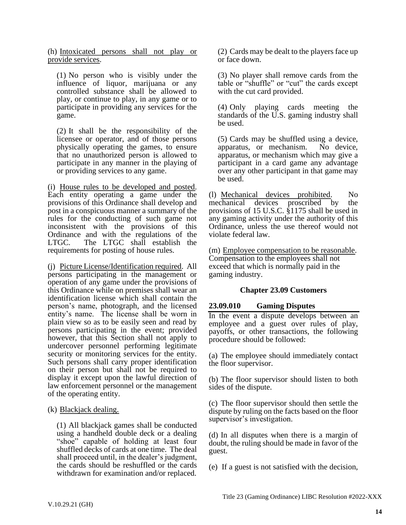(h) Intoxicated persons shall not play or provide services.

(1) No person who is visibly under the influence of liquor, marijuana or any controlled substance shall be allowed to play, or continue to play, in any game or to participate in providing any services for the game.

(2) It shall be the responsibility of the licensee or operator, and of those persons physically operating the games, to ensure that no unauthorized person is allowed to participate in any manner in the playing of or providing services to any game.

(i) House rules to be developed and posted. Each entity operating a game under the provisions of this Ordinance shall develop and post in a conspicuous manner a summary of the rules for the conducting of such game not inconsistent with the provisions of this Ordinance and with the regulations of the LTGC. The LTGC shall establish the requirements for posting of house rules.

(j) Picture License/Identification required. All persons participating in the management or operation of any game under the provisions of this Ordinance while on premises shall wear an identification license which shall contain the person's name, photograph, and the licensed entity's name. The license shall be worn in plain view so as to be easily seen and read by persons participating in the event; provided however, that this Section shall not apply to undercover personnel performing legitimate security or monitoring services for the entity. Such persons shall carry proper identification on their person but shall not be required to display it except upon the lawful direction of law enforcement personnel or the management of the operating entity.

(k) Blackjack dealing.

(1) All blackjack games shall be conducted using a handheld double deck or a dealing "shoe" capable of holding at least four shuffled decks of cards at one time. The deal shall proceed until, in the dealer's judgment, the cards should be reshuffled or the cards withdrawn for examination and/or replaced.

(2) Cards may be dealt to the players face up or face down.

(3) No player shall remove cards from the table or "shuffle" or "cut" the cards except with the cut card provided.

(4) Only playing cards meeting the standards of the U.S. gaming industry shall be used.

(5) Cards may be shuffled using a device, apparatus, or mechanism. No device, apparatus, or mechanism which may give a participant in a card game any advantage over any other participant in that game may be used.

(l) Mechanical devices prohibited. No mechanical devices proscribed by the provisions of 15 U.S.C. §1175 shall be used in any gaming activity under the authority of this Ordinance, unless the use thereof would not violate federal law.

(m) Employee compensation to be reasonable. Compensation to the employees shall not exceed that which is normally paid in the gaming industry.

# **Chapter 23.09 Customers**

# <span id="page-21-1"></span><span id="page-21-0"></span>**23.09.010 Gaming Disputes**

In the event a dispute develops between an employee and a guest over rules of play, payoffs, or other transactions, the following procedure should be followed:

(a) The employee should immediately contact the floor supervisor.

(b) The floor supervisor should listen to both sides of the dispute.

(c) The floor supervisor should then settle the dispute by ruling on the facts based on the floor supervisor's investigation.

(d) In all disputes when there is a margin of doubt, the ruling should be made in favor of the guest.

(e) If a guest is not satisfied with the decision,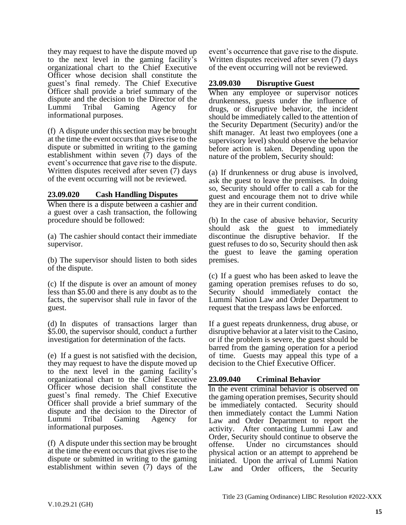they may request to have the dispute moved up to the next level in the gaming facility's organizational chart to the Chief Executive Officer whose decision shall constitute the guest's final remedy. The Chief Executive Officer shall provide a brief summary of the dispute and the decision to the Director of the Lummi Tribal Gaming Agency for informational purposes.

(f) A dispute under this section may be brought at the time the event occurs that gives rise to the dispute or submitted in writing to the gaming establishment within seven (7) days of the event's occurrence that gave rise to the dispute. Written disputes received after seven (7) days of the event occurring will not be reviewed.

### <span id="page-22-0"></span>**23.09.020 Cash Handling Disputes**

When there is a dispute between a cashier and a guest over a cash transaction, the following procedure should be followed:

(a) The cashier should contact their immediate supervisor.

(b) The supervisor should listen to both sides of the dispute.

(c) If the dispute is over an amount of money less than \$5.00 and there is any doubt as to the facts, the supervisor shall rule in favor of the guest.

(d) In disputes of transactions larger than \$5.00, the supervisor should, conduct a further investigation for determination of the facts.

(e) If a guest is not satisfied with the decision, they may request to have the dispute moved up to the next level in the gaming facility's organizational chart to the Chief Executive Officer whose decision shall constitute the guest's final remedy. The Chief Executive Officer shall provide a brief summary of the dispute and the decision to the Director of Lummi Tribal Gaming Agency for informational purposes.

(f) A dispute under this section may be brought at the time the event occurs that gives rise to the dispute or submitted in writing to the gaming establishment within seven (7) days of the

event's occurrence that gave rise to the dispute. Written disputes received after seven (7) days of the event occurring will not be reviewed.

## <span id="page-22-1"></span>**23.09.030 Disruptive Guest**

When any employee or supervisor notices drunkenness, guests under the influence of drugs, or disruptive behavior, the incident should be immediately called to the attention of the Security Department (Security) and/or the shift manager. At least two employees (one a supervisory level) should observe the behavior before action is taken. Depending upon the nature of the problem, Security should:

(a) If drunkenness or drug abuse is involved, ask the guest to leave the premises. In doing so, Security should offer to call a cab for the guest and encourage them not to drive while they are in their current condition.

(b) In the case of abusive behavior, Security should ask the guest to immediately discontinue the disruptive behavior. If the guest refuses to do so, Security should then ask the guest to leave the gaming operation premises.

(c) If a guest who has been asked to leave the gaming operation premises refuses to do so, Security should immediately contact the Lummi Nation Law and Order Department to request that the trespass laws be enforced.

If a guest repeats drunkenness, drug abuse, or disruptive behavior at a later visit to the Casino, or if the problem is severe, the guest should be barred from the gaming operation for a period of time. Guests may appeal this type of a decision to the Chief Executive Officer.

### <span id="page-22-2"></span>**23.09.040 Criminal Behavior**

In the event criminal behavior is observed on the gaming operation premises, Security should be immediately contacted. Security should then immediately contact the Lummi Nation Law and Order Department to report the activity. After contacting Lummi Law and Order, Security should continue to observe the offense. Under no circumstances should physical action or an attempt to apprehend be initiated. Upon the arrival of Lummi Nation Law and Order officers, the Security